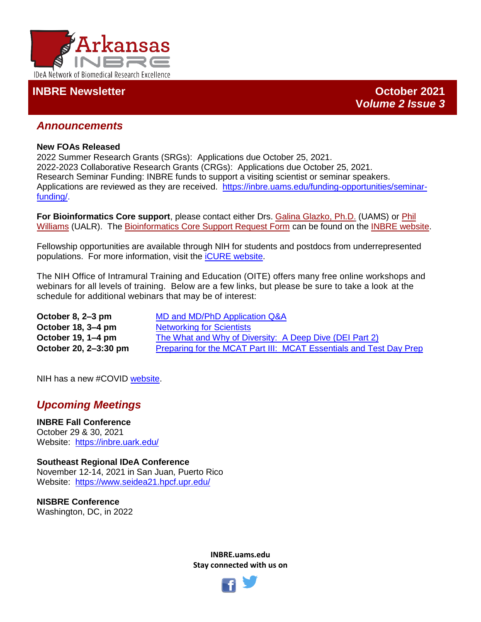

## **INBRE Newsletter October 2021**

**V***olume 2 Issue 3*

## *Announcements*

#### **New FOAs Released**

2022 Summer Research Grants (SRGs): Applications due October 25, 2021. 2022-2023 Collaborative Research Grants (CRGs): Applications due October 25, 2021. Research Seminar Funding: INBRE funds to support a visiting scientist or seminar speakers. Applications are reviewed as they are received.[https://inbre.uams.edu/funding-opportunities/seminar](https://inbre.uams.edu/funding-opportunities/seminar-funding/)[funding/.](https://inbre.uams.edu/funding-opportunities/seminar-funding/)

**For Bioinformatics Core support**, please contact either Drs. [Galina Glazko, Ph.D.](mailto:GVGlazko@uams.edeu) (UAMS) or [Phil](mailto:phwilliams@ualr.edu)  [Williams](mailto:phwilliams@ualr.edu) (UALR). The [Bioinformatics Core Support Request Form](http://dbmi.uams.edu/inbre/bioinformatics-core-support-request-form/) can be found on the [INBRE website.](https://inbre.uams.edu/cores/bioinformatics/)

Fellowship opportunities are available through NIH for students and postdocs from underrepresented populations. For more information, visit the [iCURE website.](https://www.cancer.gov/about-nci/organization/crchd/diversity-training/icure?cid=eb_govdel)

The NIH Office of Intramural Training and Education (OITE) offers many free online workshops and webinars for all levels of training. Below are a few links, but please be sure to take a look at the schedule for additional webinars that may be of interest:

| October 8, 2–3 pm     | MD and MD/PhD Application Q&A                                      |
|-----------------------|--------------------------------------------------------------------|
| October 18, 3–4 pm    | <b>Networking for Scientists</b>                                   |
| October 19, 1–4 pm    | The What and Why of Diversity: A Deep Dive (DEI Part 2)            |
| October 20, 2-3:30 pm | Preparing for the MCAT Part III: MCAT Essentials and Test Day Prep |

NIH has a new #COVID [website.](https://covid19.nih.gov/)

# *Upcoming Meetings*

**INBRE Fall Conference** October 29 & 30, 2021 Website: <https://inbre.uark.edu/>

**Southeast Regional IDeA Conference**  November 12-14, 2021 in San Juan, Puerto Rico Website: <https://www.seidea21.hpcf.upr.edu/>

**NISBRE Conference** Washington, DC, in 2022

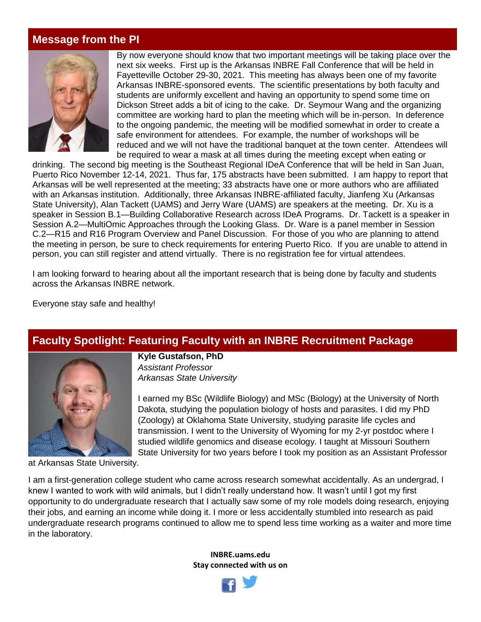## **Message from the PI**



By now everyone should know that two important meetings will be taking place over the next six weeks. First up is the Arkansas INBRE Fall Conference that will be held in Fayetteville October 29-30, 2021. This meeting has always been one of my favorite Arkansas INBRE-sponsored events. The scientific presentations by both faculty and students are uniformly excellent and having an opportunity to spend some time on Dickson Street adds a bit of icing to the cake. Dr. Seymour Wang and the organizing committee are working hard to plan the meeting which will be in-person. In deference to the ongoing pandemic, the meeting will be modified somewhat in order to create a safe environment for attendees. For example, the number of workshops will be reduced and we will not have the traditional banquet at the town center. Attendees will be required to wear a mask at all times during the meeting except when eating or

drinking. The second big meeting is the Southeast Regional IDeA Conference that will be held in San Juan, Puerto Rico November 12-14, 2021. Thus far, 175 abstracts have been submitted. I am happy to report that Arkansas will be well represented at the meeting; 33 abstracts have one or more authors who are affiliated with an Arkansas institution. Additionally, three Arkansas INBRE-affiliated faculty, Jianfeng Xu (Arkansas State University), Alan Tackett (UAMS) and Jerry Ware (UAMS) are speakers at the meeting. Dr. Xu is a speaker in Session B.1—Building Collaborative Research across IDeA Programs. Dr. Tackett is a speaker in Session A.2—MultiOmic Approaches through the Looking Glass. Dr. Ware is a panel member in Session C.2—R15 and R16 Program Overview and Panel Discussion. For those of you who are planning to attend the meeting in person, be sure to check requirements for entering Puerto Rico. If you are unable to attend in person, you can still register and attend virtually. There is no registration fee for virtual attendees.

I am looking forward to hearing about all the important research that is being done by faculty and students across the Arkansas INBRE network.

Everyone stay safe and healthy!

## **Faculty Spotlight: Featuring Faculty with an INBRE Recruitment Package**



**Kyle Gustafson, PhD** *Assistant Professor Arkansas State University*

I earned my BSc (Wildlife Biology) and MSc (Biology) at the University of North Dakota, studying the population biology of hosts and parasites. I did my PhD (Zoology) at Oklahoma State University, studying parasite life cycles and transmission. I went to the University of Wyoming for my 2-yr postdoc where I studied wildlife genomics and disease ecology. I taught at Missouri Southern State University for two years before I took my position as an Assistant Professor

at Arkansas State University.

I am a first-generation college student who came across research somewhat accidentally. As an undergrad, I knew I wanted to work with wild animals, but I didn't really understand how. It wasn't until I got my first opportunity to do undergraduate research that I actually saw some of my role models doing research, enjoying their jobs, and earning an income while doing it. I more or less accidentally stumbled into research as paid undergraduate research programs continued to allow me to spend less time working as a waiter and more time in the laboratory.

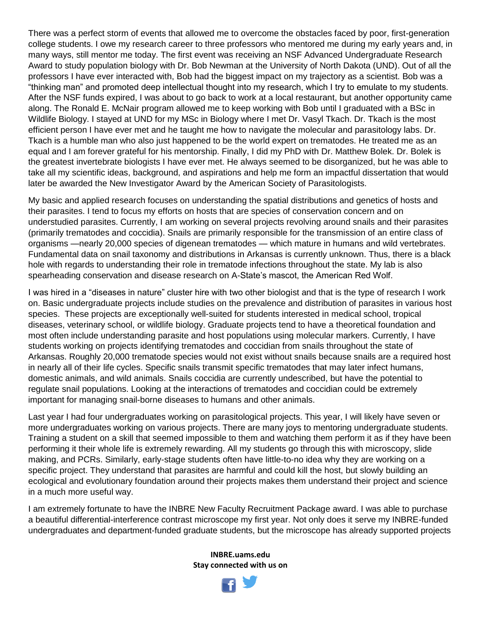There was a perfect storm of events that allowed me to overcome the obstacles faced by poor, first-generation college students. I owe my research career to three professors who mentored me during my early years and, in many ways, still mentor me today. The first event was receiving an NSF Advanced Undergraduate Research Award to study population biology with Dr. Bob Newman at the University of North Dakota (UND). Out of all the professors I have ever interacted with, Bob had the biggest impact on my trajectory as a scientist. Bob was a "thinking man" and promoted deep intellectual thought into my research, which I try to emulate to my students. After the NSF funds expired, I was about to go back to work at a local restaurant, but another opportunity came along. The Ronald E. McNair program allowed me to keep working with Bob until I graduated with a BSc in Wildlife Biology. I stayed at UND for my MSc in Biology where I met Dr. Vasyl Tkach. Dr. Tkach is the most efficient person I have ever met and he taught me how to navigate the molecular and parasitology labs. Dr. Tkach is a humble man who also just happened to be the world expert on trematodes. He treated me as an equal and I am forever grateful for his mentorship. Finally, I did my PhD with Dr. Matthew Bolek. Dr. Bolek is the greatest invertebrate biologists I have ever met. He always seemed to be disorganized, but he was able to take all my scientific ideas, background, and aspirations and help me form an impactful dissertation that would later be awarded the New Investigator Award by the American Society of Parasitologists.

My basic and applied research focuses on understanding the spatial distributions and genetics of hosts and their parasites. I tend to focus my efforts on hosts that are species of conservation concern and on understudied parasites. Currently, I am working on several projects revolving around snails and their parasites (primarily trematodes and coccidia). Snails are primarily responsible for the transmission of an entire class of organisms —nearly 20,000 species of digenean trematodes — which mature in humans and wild vertebrates. Fundamental data on snail taxonomy and distributions in Arkansas is currently unknown. Thus, there is a black hole with regards to understanding their role in trematode infections throughout the state. My lab is also spearheading conservation and disease research on A-State's mascot, the American Red Wolf.

I was hired in a "diseases in nature" cluster hire with two other biologist and that is the type of research I work on. Basic undergraduate projects include studies on the prevalence and distribution of parasites in various host species. These projects are exceptionally well-suited for students interested in medical school, tropical diseases, veterinary school, or wildlife biology. Graduate projects tend to have a theoretical foundation and most often include understanding parasite and host populations using molecular markers. Currently, I have students working on projects identifying trematodes and coccidian from snails throughout the state of Arkansas. Roughly 20,000 trematode species would not exist without snails because snails are a required host in nearly all of their life cycles. Specific snails transmit specific trematodes that may later infect humans, domestic animals, and wild animals. Snails coccidia are currently undescribed, but have the potential to regulate snail populations. Looking at the interactions of trematodes and coccidian could be extremely important for managing snail-borne diseases to humans and other animals.

Last year I had four undergraduates working on parasitological projects. This year, I will likely have seven or more undergraduates working on various projects. There are many joys to mentoring undergraduate students. Training a student on a skill that seemed impossible to them and watching them perform it as if they have been performing it their whole life is extremely rewarding. All my students go through this with microscopy, slide making, and PCRs. Similarly, early-stage students often have little-to-no idea why they are working on a specific project. They understand that parasites are harmful and could kill the host, but slowly building an ecological and evolutionary foundation around their projects makes them understand their project and science in a much more useful way.

I am extremely fortunate to have the INBRE New Faculty Recruitment Package award. I was able to purchase a beautiful differential-interference contrast microscope my first year. Not only does it serve my INBRE-funded undergraduates and department-funded graduate students, but the microscope has already supported projects

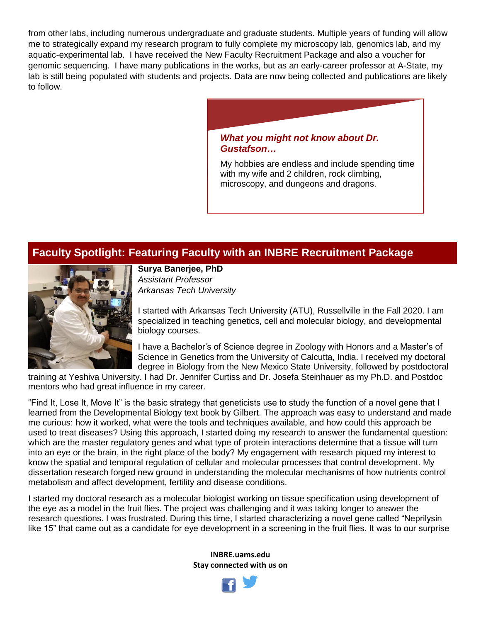from other labs, including numerous undergraduate and graduate students. Multiple years of funding will allow me to strategically expand my research program to fully complete my microscopy lab, genomics lab, and my aquatic-experimental lab. I have received the New Faculty Recruitment Package and also a voucher for genomic sequencing. I have many publications in the works, but as an early-career professor at A-State, my lab is still being populated with students and projects. Data are now being collected and publications are likely to follow.

> *What you might not know about Dr. Gustafson…*

My hobbies are endless and include spending time with my wife and 2 children, rock climbing, microscopy, and dungeons and dragons.

# **Faculty Spotlight: Featuring Faculty with an INBRE Recruitment Package**



**Surya Banerjee, PhD** *Assistant Professor Arkansas Tech University*

I started with Arkansas Tech University (ATU), Russellville in the Fall 2020. I am specialized in teaching genetics, cell and molecular biology, and developmental biology courses.

I have a Bachelor's of Science degree in Zoology with Honors and a Master's of Science in Genetics from the University of Calcutta, India. I received my doctoral degree in Biology from the New Mexico State University, followed by postdoctoral

training at Yeshiva University. I had Dr. Jennifer Curtiss and Dr. Josefa Steinhauer as my Ph.D. and Postdoc mentors who had great influence in my career.

"Find It, Lose It, Move It" is the basic strategy that geneticists use to study the function of a novel gene that I learned from the Developmental Biology text book by Gilbert. The approach was easy to understand and made me curious: how it worked, what were the tools and techniques available, and how could this approach be used to treat diseases? Using this approach, I started doing my research to answer the fundamental question: which are the master regulatory genes and what type of protein interactions determine that a tissue will turn into an eye or the brain, in the right place of the body? My engagement with research piqued my interest to know the spatial and temporal regulation of cellular and molecular processes that control development. My dissertation research forged new ground in understanding the molecular mechanisms of how nutrients control metabolism and affect development, fertility and disease conditions.

I started my doctoral research as a molecular biologist working on tissue specification using development of the eye as a model in the fruit flies. The project was challenging and it was taking longer to answer the research questions. I was frustrated. During this time, I started characterizing a novel gene called "Neprilysin like 15" that came out as a candidate for eye development in a screening in the fruit flies. It was to our surprise

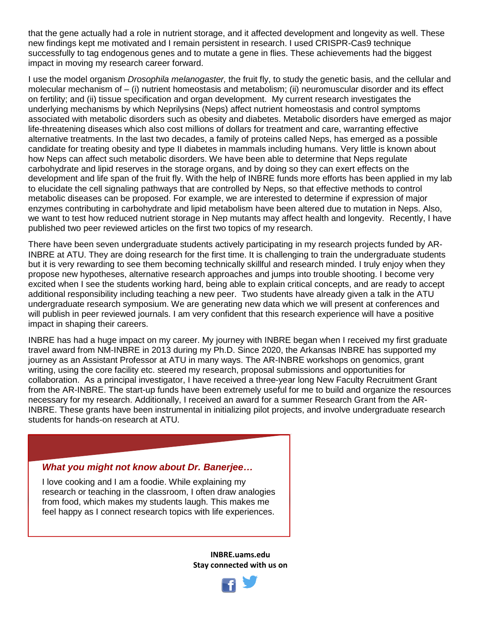that the gene actually had a role in nutrient storage, and it affected development and longevity as well. These new findings kept me motivated and I remain persistent in research. I used CRISPR-Cas9 technique successfully to tag endogenous genes and to mutate a gene in flies. These achievements had the biggest impact in moving my research career forward.

I use the model organism *Drosophila melanogaster,* the fruit fly, to study the genetic basis, and the cellular and molecular mechanism of – (i) nutrient homeostasis and metabolism; (ii) neuromuscular disorder and its effect on fertility; and (ii) tissue specification and organ development. My current research investigates the underlying mechanisms by which Neprilysins (Neps) affect nutrient homeostasis and control symptoms associated with metabolic disorders such as obesity and diabetes. Metabolic disorders have emerged as major life-threatening diseases which also cost millions of dollars for treatment and care, warranting effective alternative treatments. In the last two decades, a family of proteins called Neps, has emerged as a possible candidate for treating obesity and type II diabetes in mammals including humans. Very little is known about how Neps can affect such metabolic disorders. We have been able to determine that Neps regulate carbohydrate and lipid reserves in the storage organs, and by doing so they can exert effects on the development and life span of the fruit fly. With the help of INBRE funds more efforts has been applied in my lab to elucidate the cell signaling pathways that are controlled by Neps, so that effective methods to control metabolic diseases can be proposed. For example, we are interested to determine if expression of major enzymes contributing in carbohydrate and lipid metabolism have been altered due to mutation in Neps. Also, we want to test how reduced nutrient storage in Nep mutants may affect health and longevity. Recently, I have published two peer reviewed articles on the first two topics of my research.

There have been seven undergraduate students actively participating in my research projects funded by AR-INBRE at ATU. They are doing research for the first time. It is challenging to train the undergraduate students but it is very rewarding to see them becoming technically skillful and research minded. I truly enjoy when they propose new hypotheses, alternative research approaches and jumps into trouble shooting. I become very excited when I see the students working hard, being able to explain critical concepts, and are ready to accept additional responsibility including teaching a new peer. Two students have already given a talk in the ATU undergraduate research symposium. We are generating new data which we will present at conferences and will publish in peer reviewed journals. I am very confident that this research experience will have a positive impact in shaping their careers.

INBRE has had a huge impact on my career. My journey with INBRE began when I received my first graduate travel award from NM-INBRE in 2013 during my Ph.D. Since 2020, the Arkansas INBRE has supported my journey as an Assistant Professor at ATU in many ways. The AR-INBRE workshops on genomics, grant writing, using the core facility etc. steered my research, proposal submissions and opportunities for collaboration. As a principal investigator, I have received a three-year long New Faculty Recruitment Grant from the AR-INBRE. The start-up funds have been extremely useful for me to build and organize the resources necessary for my research. Additionally, I received an award for a summer Research Grant from the AR-INBRE. These grants have been instrumental in initializing pilot projects, and involve undergraduate research students for hands-on research at ATU.

#### *What you might not know about Dr. Banerjee…*

I love cooking and I am a foodie. While explaining my research or teaching in the classroom, I often draw analogies from food, which makes my students laugh. This makes me feel happy as I connect research topics with life experiences.

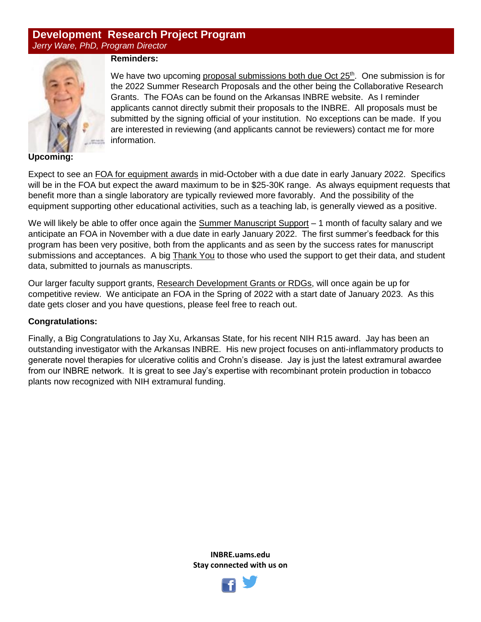## **Development Research Project Program** *Jerry Ware, PhD, Program Director*



### **Reminders:**

We have two upcoming proposal submissions both due Oct  $25<sup>th</sup>$ . One submission is for the 2022 Summer Research Proposals and the other being the Collaborative Research Grants. The FOAs can be found on the Arkansas INBRE website. As I reminder applicants cannot directly submit their proposals to the INBRE. All proposals must be submitted by the signing official of your institution. No exceptions can be made. If you are interested in reviewing (and applicants cannot be reviewers) contact me for more information.

**Upcoming:**

Expect to see an FOA for equipment awards in mid-October with a due date in early January 2022. Specifics will be in the FOA but expect the award maximum to be in \$25-30K range. As always equipment requests that benefit more than a single laboratory are typically reviewed more favorably. And the possibility of the equipment supporting other educational activities, such as a teaching lab, is generally viewed as a positive.

We will likely be able to offer once again the Summer Manuscript Support - 1 month of faculty salary and we anticipate an FOA in November with a due date in early January 2022. The first summer's feedback for this program has been very positive, both from the applicants and as seen by the success rates for manuscript submissions and acceptances. A big Thank You to those who used the support to get their data, and student data, submitted to journals as manuscripts.

Our larger faculty support grants, Research Development Grants or RDGs, will once again be up for competitive review. We anticipate an FOA in the Spring of 2022 with a start date of January 2023. As this date gets closer and you have questions, please feel free to reach out.

#### **Congratulations:**

Finally, a Big Congratulations to Jay Xu, Arkansas State, for his recent NIH R15 award. Jay has been an outstanding investigator with the Arkansas INBRE. His new project focuses on anti-inflammatory products to generate novel therapies for ulcerative colitis and Crohn's disease. Jay is just the latest extramural awardee from our INBRE network. It is great to see Jay's expertise with recombinant protein production in tobacco plants now recognized with NIH extramural funding.

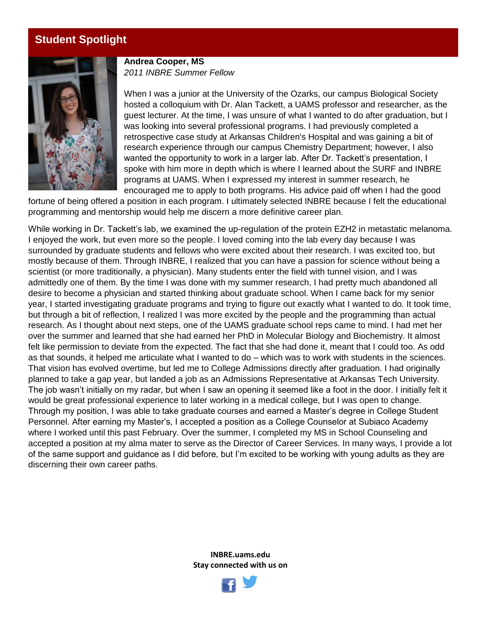# **Student Spotlight**



**Andrea Cooper, MS** *2011 INBRE Summer Fellow*

When I was a junior at the University of the Ozarks, our campus Biological Society hosted a colloquium with Dr. Alan Tackett, a UAMS professor and researcher, as the guest lecturer. At the time, I was unsure of what I wanted to do after graduation, but I was looking into several professional programs. I had previously completed a retrospective case study at Arkansas Children's Hospital and was gaining a bit of research experience through our campus Chemistry Department; however, I also wanted the opportunity to work in a larger lab. After Dr. Tackett's presentation, I spoke with him more in depth which is where I learned about the SURF and INBRE programs at UAMS. When I expressed my interest in summer research, he encouraged me to apply to both programs. His advice paid off when I had the good

fortune of being offered a position in each program. I ultimately selected INBRE because I felt the educational programming and mentorship would help me discern a more definitive career plan.

While working in Dr. Tackett's lab, we examined the up-regulation of the protein EZH2 in metastatic melanoma. I enjoyed the work, but even more so the people. I loved coming into the lab every day because I was surrounded by graduate students and fellows who were excited about their research. I was excited too, but mostly because of them. Through INBRE, I realized that you can have a passion for science without being a scientist (or more traditionally, a physician). Many students enter the field with tunnel vision, and I was admittedly one of them. By the time I was done with my summer research, I had pretty much abandoned all desire to become a physician and started thinking about graduate school. When I came back for my senior year, I started investigating graduate programs and trying to figure out exactly what I wanted to do. It took time, but through a bit of reflection, I realized I was more excited by the people and the programming than actual research. As I thought about next steps, one of the UAMS graduate school reps came to mind. I had met her over the summer and learned that she had earned her PhD in Molecular Biology and Biochemistry. It almost felt like permission to deviate from the expected. The fact that she had done it, meant that I could too. As odd as that sounds, it helped me articulate what I wanted to do – which was to work with students in the sciences. That vision has evolved overtime, but led me to College Admissions directly after graduation. I had originally planned to take a gap year, but landed a job as an Admissions Representative at Arkansas Tech University. The job wasn't initially on my radar, but when I saw an opening it seemed like a foot in the door. I initially felt it would be great professional experience to later working in a medical college, but I was open to change. Through my position, I was able to take graduate courses and earned a Master's degree in College Student Personnel. After earning my Master's, I accepted a position as a College Counselor at Subiaco Academy where I worked until this past February. Over the summer, I completed my MS in School Counseling and accepted a position at my alma mater to serve as the Director of Career Services. In many ways, I provide a lot of the same support and guidance as I did before, but I'm excited to be working with young adults as they are discerning their own career paths.

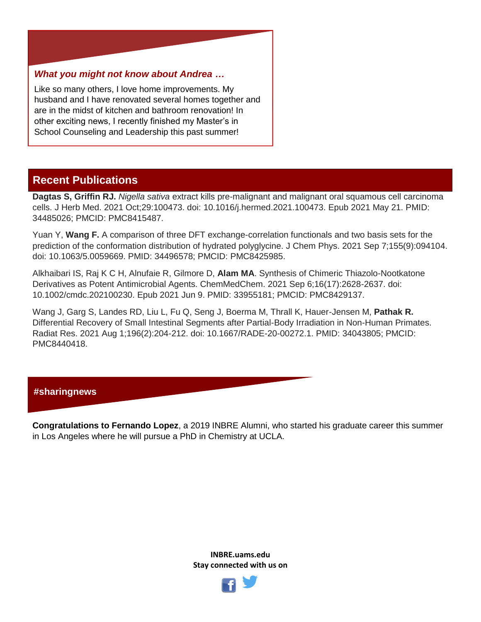### *What you might not know about Andrea …*

Like so many others, I love home improvements. My husband and I have renovated several homes together and are in the midst of kitchen and bathroom renovation! In other exciting news, I recently finished my Master's in School Counseling and Leadership this past summer!

# **Recent Publications**

**Dagtas S, Griffin RJ.** *Nigella sativa* extract kills pre-malignant and malignant oral squamous cell carcinoma cells. J Herb Med. 2021 Oct;29:100473. doi: 10.1016/j.hermed.2021.100473. Epub 2021 May 21. PMID: 34485026; PMCID: PMC8415487.

Yuan Y, **Wang F.** A comparison of three DFT exchange-correlation functionals and two basis sets for the prediction of the conformation distribution of hydrated polyglycine. J Chem Phys. 2021 Sep 7;155(9):094104. doi: 10.1063/5.0059669. PMID: 34496578; PMCID: PMC8425985.

Alkhaibari IS, Raj K C H, Alnufaie R, Gilmore D, **Alam MA**. Synthesis of Chimeric Thiazolo-Nootkatone Derivatives as Potent Antimicrobial Agents. ChemMedChem. 2021 Sep 6;16(17):2628-2637. doi: 10.1002/cmdc.202100230. Epub 2021 Jun 9. PMID: 33955181; PMCID: PMC8429137.

Wang J, Garg S, Landes RD, Liu L, Fu Q, Seng J, Boerma M, Thrall K, Hauer-Jensen M, **Pathak R.** Differential Recovery of Small Intestinal Segments after Partial-Body Irradiation in Non-Human Primates. Radiat Res. 2021 Aug 1;196(2):204-212. doi: 10.1667/RADE-20-00272.1. PMID: 34043805; PMCID: PMC8440418.

### **#sharingnews**

**Congratulations to Fernando Lopez**, a 2019 INBRE Alumni, who started his graduate career this summer in Los Angeles where he will pursue a PhD in Chemistry at UCLA.